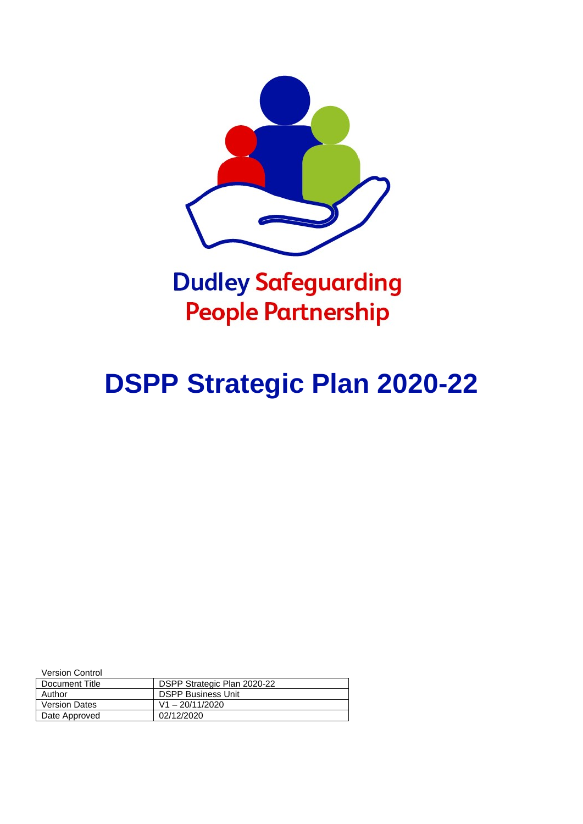

# **Dudley Safeguarding People Partnership**

# **DSPP Strategic Plan 2020-22**

Version Control

| Document Title       | DSPP Strategic Plan 2020-22 |
|----------------------|-----------------------------|
| Author               | <b>DSPP Business Unit</b>   |
| <b>Version Dates</b> | $V1 - 20/11/2020$           |
| Date Approved        | 02/12/2020                  |
|                      |                             |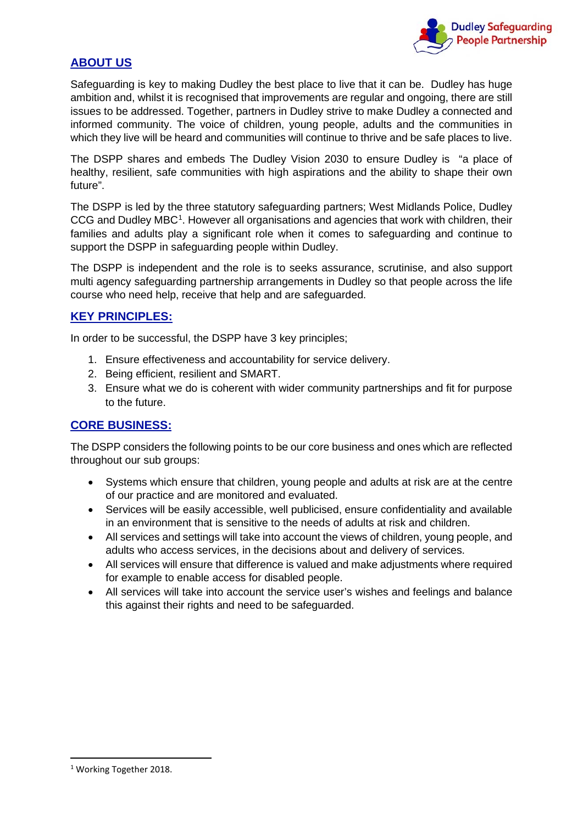

# **ABOUT US**

Safeguarding is key to making Dudley the best place to live that it can be. Dudley has huge ambition and, whilst it is recognised that improvements are regular and ongoing, there are still issues to be addressed. Together, partners in Dudley strive to make Dudley a connected and informed community. The voice of children, young people, adults and the communities in which they live will be heard and communities will continue to thrive and be safe places to live.

The DSPP shares and embeds The Dudley Vision 2030 to ensure Dudley is "a place of healthy, resilient, safe communities with high aspirations and the ability to shape their own future".

The DSPP is led by the three statutory safeguarding partners; West Midlands Police, Dudley CCG and Dudley MBC<sup>[1](#page-1-0)</sup>. However all organisations and agencies that work with children, their families and adults play a significant role when it comes to safeguarding and continue to support the DSPP in safeguarding people within Dudley.

The DSPP is independent and the role is to seeks assurance, scrutinise, and also support multi agency safeguarding partnership arrangements in Dudley so that people across the life course who need help, receive that help and are safeguarded.

## **KEY PRINCIPLES:**

In order to be successful, the DSPP have 3 key principles;

- 1. Ensure effectiveness and accountability for service delivery.
- 2. Being efficient, resilient and SMART.
- 3. Ensure what we do is coherent with wider community partnerships and fit for purpose to the future.

#### **CORE BUSINESS:**

The DSPP considers the following points to be our core business and ones which are reflected throughout our sub groups:

- Systems which ensure that children, young people and adults at risk are at the centre of our practice and are monitored and evaluated.
- Services will be easily accessible, well publicised, ensure confidentiality and available in an environment that is sensitive to the needs of adults at risk and children.
- All services and settings will take into account the views of children, young people, and adults who access services, in the decisions about and delivery of services.
- All services will ensure that difference is valued and make adjustments where required for example to enable access for disabled people.
- All services will take into account the service user's wishes and feelings and balance this against their rights and need to be safeguarded.

<span id="page-1-0"></span><sup>&</sup>lt;sup>1</sup> Working Together 2018.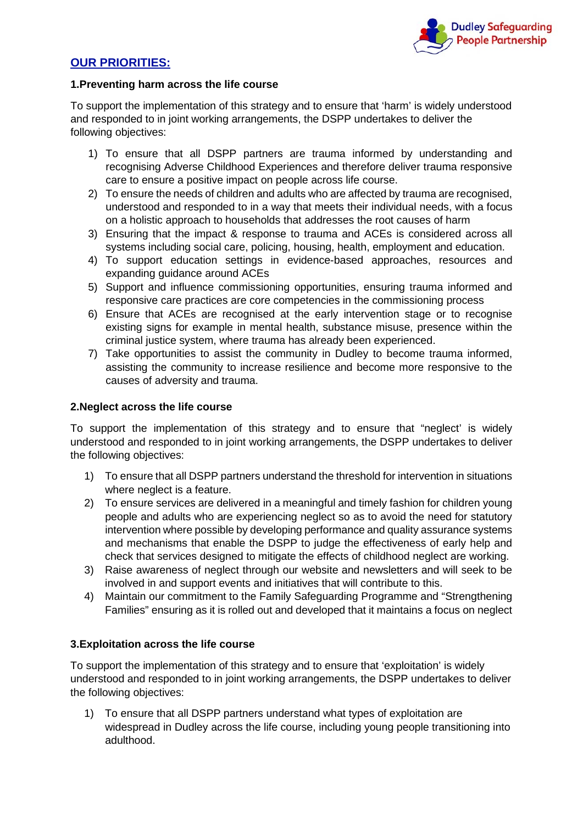

## **OUR PRIORITIES:**

#### **1.Preventing harm across the life course**

To support the implementation of this strategy and to ensure that 'harm' is widely understood and responded to in joint working arrangements, the DSPP undertakes to deliver the following objectives:

- 1) To ensure that all DSPP partners are trauma informed by understanding and recognising Adverse Childhood Experiences and therefore deliver trauma responsive care to ensure a positive impact on people across life course.
- 2) To ensure the needs of children and adults who are affected by trauma are recognised, understood and responded to in a way that meets their individual needs, with a focus on a holistic approach to households that addresses the root causes of harm
- 3) Ensuring that the impact & response to trauma and ACEs is considered across all systems including social care, policing, housing, health, employment and education.
- 4) To support education settings in evidence-based approaches, resources and expanding guidance around ACEs
- 5) Support and influence commissioning opportunities, ensuring trauma informed and responsive care practices are core competencies in the commissioning process
- 6) Ensure that ACEs are recognised at the early intervention stage or to recognise existing signs for example in mental health, substance misuse, presence within the criminal justice system, where trauma has already been experienced.
- 7) Take opportunities to assist the community in Dudley to become trauma informed, assisting the community to increase resilience and become more responsive to the causes of adversity and trauma.

#### **2.Neglect across the life course**

To support the implementation of this strategy and to ensure that "neglect' is widely understood and responded to in joint working arrangements, the DSPP undertakes to deliver the following objectives:

- 1) To ensure that all DSPP partners understand the threshold for intervention in situations where neglect is a feature.
- 2) To ensure services are delivered in a meaningful and timely fashion for children young people and adults who are experiencing neglect so as to avoid the need for statutory intervention where possible by developing performance and quality assurance systems and mechanisms that enable the DSPP to judge the effectiveness of early help and check that services designed to mitigate the effects of childhood neglect are working.
- 3) Raise awareness of neglect through our website and newsletters and will seek to be involved in and support events and initiatives that will contribute to this.
- 4) Maintain our commitment to the Family Safeguarding Programme and "Strengthening Families" ensuring as it is rolled out and developed that it maintains a focus on neglect

#### **3.Exploitation across the life course**

To support the implementation of this strategy and to ensure that 'exploitation' is widely understood and responded to in joint working arrangements, the DSPP undertakes to deliver the following objectives:

1) To ensure that all DSPP partners understand what types of exploitation are widespread in Dudley across the life course, including young people transitioning into adulthood.